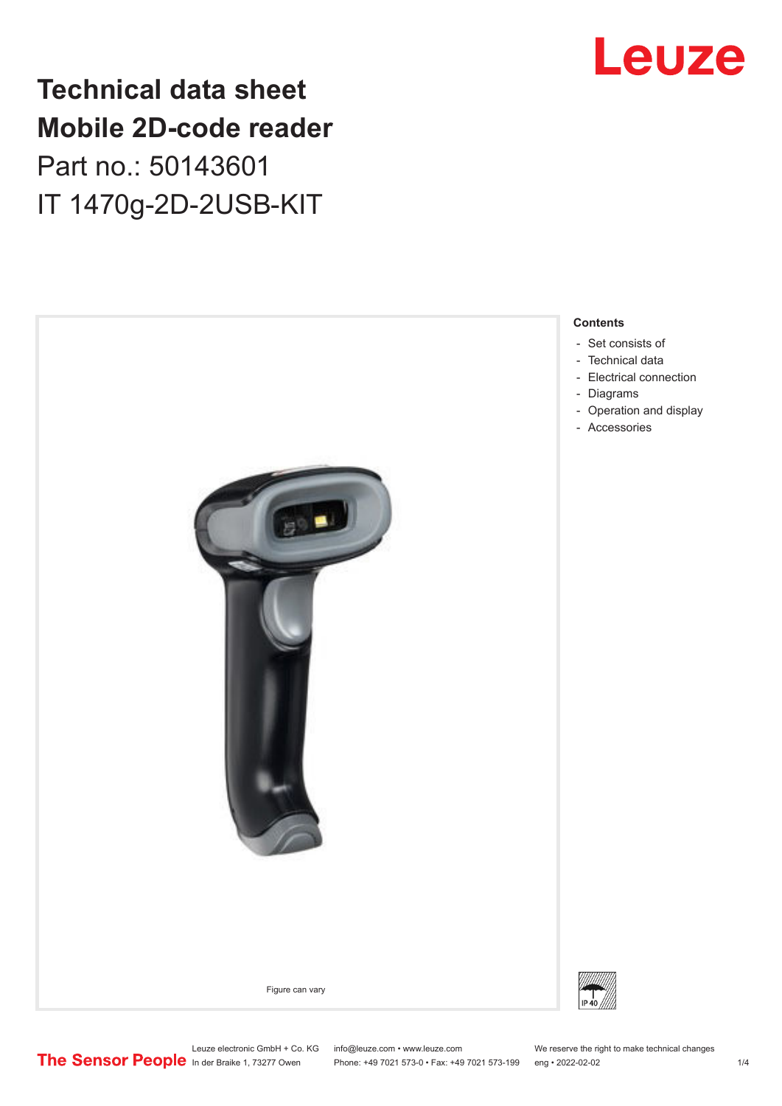## **Technical data sheet Mobile 2D-code reader** Part no.: 50143601 IT 1470g-2D-2USB-KIT

 - Set consists of - [Technical data](#page-1-0) - - [Diagrams](#page-2-0) - [Accessories](#page-2-0) Figure can vary



#### **Contents**

- [Electrical connection](#page-2-0)
- [Operation and display](#page-2-0)



Leuze electronic GmbH + Co. KG info@leuze.com • www.leuze.com We reserve the right to make technical changes<br>
The Sensor People in der Braike 1, 73277 Owen Phone: +49 7021 573-0 • Fax: +49 7021 573-199 eng • 2022-02-02

Phone: +49 7021 573-0 • Fax: +49 7021 573-199 eng • 2022-02-02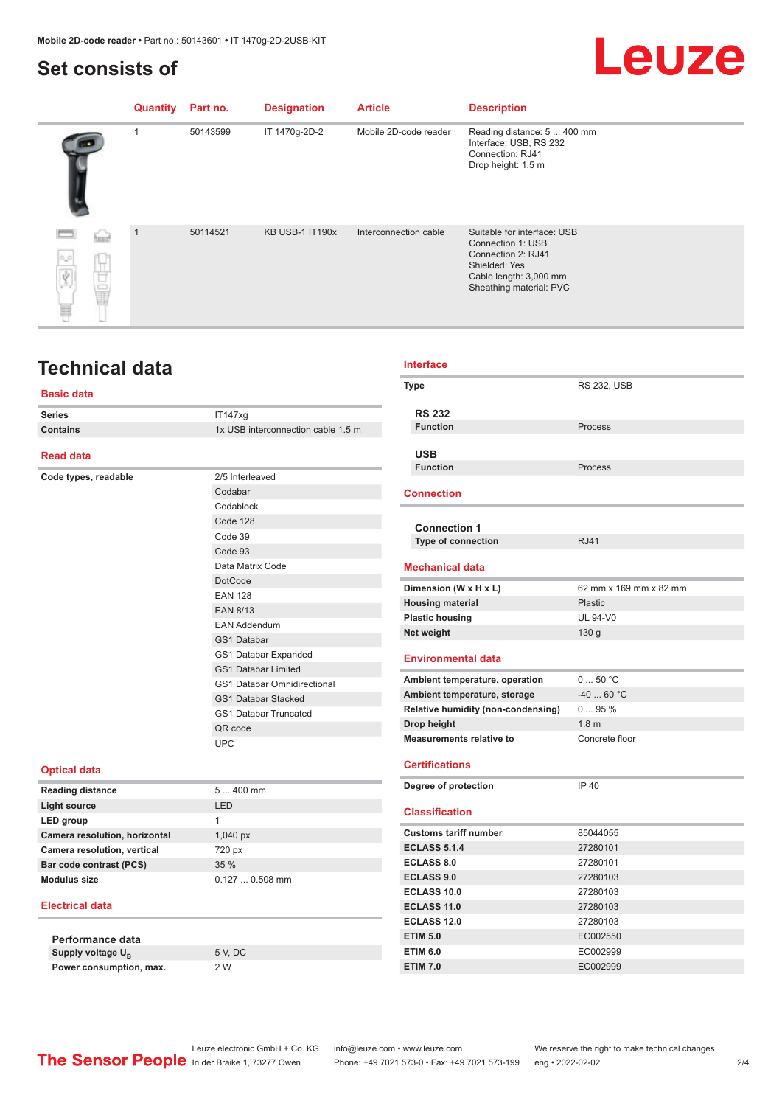## <span id="page-1-0"></span>**Set consists of**

## Leuze

|                       | Quantity | Part no. | <b>Designation</b>     | <b>Article</b>        | <b>Description</b>                                                                                                                           |
|-----------------------|----------|----------|------------------------|-----------------------|----------------------------------------------------------------------------------------------------------------------------------------------|
|                       |          | 50143599 | IT 1470g-2D-2          | Mobile 2D-code reader | Reading distance: 5  400 mm<br>Interface: USB, RS 232<br>Connection: RJ41<br>Drop height: 1.5 m                                              |
| $\Gamma_{\rm m}$<br>H |          | 50114521 | <b>KB USB-1 IT190x</b> | Interconnection cable | Suitable for interface: USB<br>Connection 1: USB<br>Connection 2: RJ41<br>Shielded: Yes<br>Cable length: 3,000 mm<br>Sheathing material: PVC |

### **Technical data**

#### **Basic data**

| <b>Series</b>   | IT147xq                            |
|-----------------|------------------------------------|
| <b>Contains</b> | 1x USB interconnection cable 1.5 m |
|                 |                                    |

#### **Read data**

**Code types, readable** 

| 2/5 Interleaved                    |
|------------------------------------|
| Codabar                            |
| Codablock                          |
| Code 128                           |
| Code 39                            |
| Code 93                            |
| Data Matrix Code                   |
| <b>DotCode</b>                     |
| <b>FAN 128</b>                     |
| <b>FAN 8/13</b>                    |
| <b>FAN Addendum</b>                |
| <b>GS1 Databar</b>                 |
| GS1 Databar Expanded               |
| <b>GS1 Databar Limited</b>         |
| <b>GS1 Databar Omnidirectional</b> |
| <b>GS1 Databar Stacked</b>         |
| <b>GS1 Databar Truncated</b>       |
| OR code                            |
| UPC                                |

#### **Optical data**

| $5400$ mm            |
|----------------------|
| I FD                 |
| 1                    |
| $1,040\,\mathrm{px}$ |
| 720 px               |
| 35%                  |
| $0.1270.508$ mm      |
|                      |

#### **Electrical data**

**Performance data** Supply voltage  $U_B$ **Power consumption, max.** 2 W

5 V, DC

| <b>Interface</b>                          |                        |
|-------------------------------------------|------------------------|
| <b>Type</b>                               | <b>RS 232, USB</b>     |
|                                           |                        |
| <b>RS 232</b>                             |                        |
| <b>Function</b>                           | Process                |
| <b>USB</b>                                |                        |
| <b>Function</b>                           | Process                |
|                                           |                        |
| <b>Connection</b>                         |                        |
|                                           |                        |
| <b>Connection 1</b>                       |                        |
| <b>Type of connection</b>                 | <b>RJ41</b>            |
| <b>Mechanical data</b>                    |                        |
| Dimension (W x H x L)                     | 62 mm x 169 mm x 82 mm |
| <b>Housing material</b>                   | Plastic                |
| <b>Plastic housing</b>                    | <b>UL 94-V0</b>        |
| Net weight                                | 130 <sub>g</sub>       |
| <b>Environmental data</b>                 |                        |
|                                           |                        |
| Ambient temperature, operation            | 050 °C                 |
| Ambient temperature, storage              | $-4060 °C$             |
| <b>Relative humidity (non-condensing)</b> | 095%                   |
| Drop height                               | 1.8 <sub>m</sub>       |
| <b>Measurements relative to</b>           | Concrete floor         |
|                                           |                        |
| <b>Certifications</b>                     |                        |
| Degree of protection                      | <b>IP 40</b>           |
| <b>Classification</b>                     |                        |
| <b>Customs tariff number</b>              | 85044055               |
| <b>ECLASS 5.1.4</b>                       | 27280101               |
| ECLASS 8.0                                | 27280101               |
| <b>ECLASS 9.0</b>                         | 27280103               |
| <b>ECLASS 10.0</b>                        | 27280103               |
| <b>ECLASS 11.0</b>                        | 27280103               |
| <b>ECLASS 12.0</b>                        | 27280103               |
| <b>ETIM 5.0</b>                           | EC002550               |
| <b>ETIM 6.0</b>                           | EC002999               |

Leuze electronic GmbH + Co. KG info@leuze.com • www.leuze.com We reserve the right to make technical changes<br>
The Sensor People in der Braike 1, 73277 Owen Phone: +49 7021 573-0 • Fax: +49 7021 573-199 eng • 2022-02-02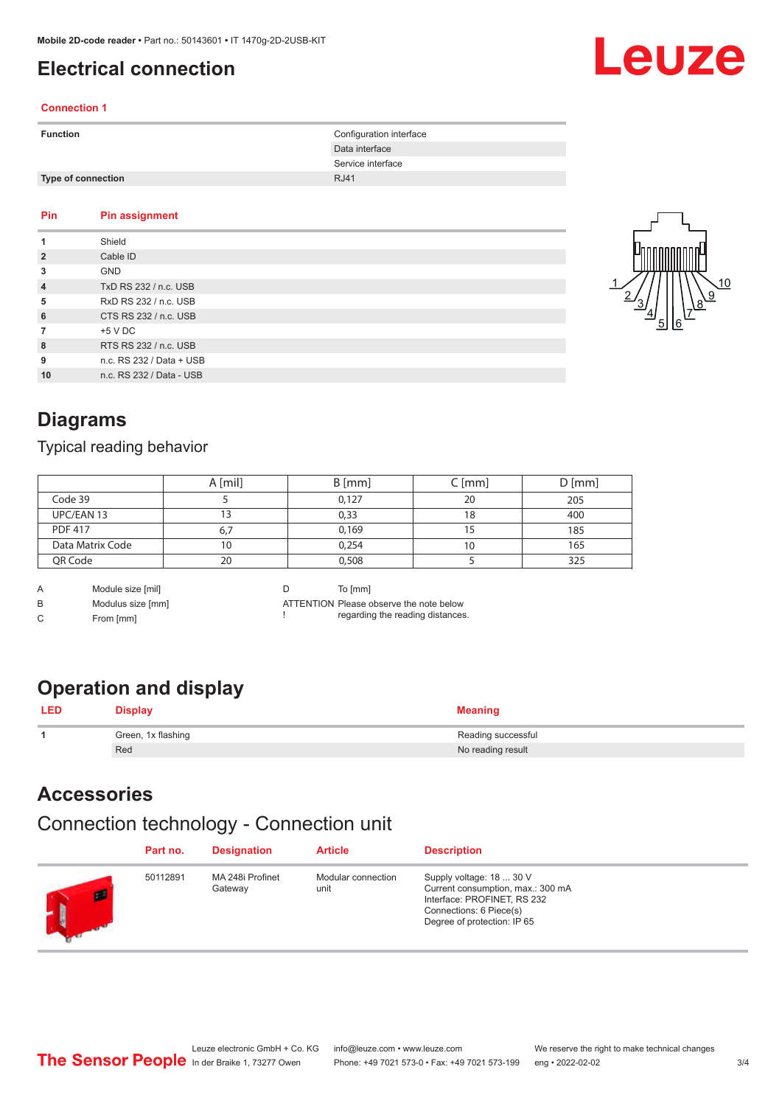## <span id="page-2-0"></span>**Electrical connection**

#### **Connection 1**

| <b>Function</b>           | Configuration interface |
|---------------------------|-------------------------|
|                           | Data interface          |
|                           | Service interface       |
| <b>Type of connection</b> | <b>RJ41</b>             |

#### **Pin Pin assignment 1** Shield **2** Cable ID **3** GND **4** TxD RS 232 / n.c. USB **5** RxD RS 232 / n.c. USB **6** CTS RS 232 / n.c. USB **7** +5 V DC **8** RTS RS 232 / n.c. USB **9** n.c. RS 232 / Data + USB **10** n.c. RS 232 / Data - USB



Leuze

## **Diagrams**

#### Typical reading behavior

|                  | A [mil] | $B$ [mm] | C [mm] | $D$ [mm] |
|------------------|---------|----------|--------|----------|
| Code 39          |         | 0,127    | 20     | 205      |
| UPC/EAN 13       |         | 0,33     | 18     | 400      |
| <b>PDF 417</b>   | 6.7     | 0,169    |        | 185      |
| Data Matrix Code | 10      | 0,254    | 10     | 165      |
| QR Code          | 20      | 0,508    |        | 325      |

A Module size [mil]

B Modulus size [mm]

C From [mm]

D To [mm]

!

ATTENTION Please observe the note below regarding the reading distances.

## **Operation and display**

| $\boldsymbol{\mathsf{Display}}$ | <b>Meaning</b>     |
|---------------------------------|--------------------|
| Green, 1x flashing              | Reading successful |
| Red                             | No reading result  |

### **Accessories**

#### Connection technology - Connection unit

|   | Part no. | <b>Designation</b>          | <b>Article</b>             | <b>Description</b>                                                                                                                                     |
|---|----------|-----------------------------|----------------------------|--------------------------------------------------------------------------------------------------------------------------------------------------------|
| m | 50112891 | MA 248i Profinet<br>Gateway | Modular connection<br>unit | Supply voltage: 18  30 V<br>Current consumption, max.: 300 mA<br>Interface: PROFINET, RS 232<br>Connections: 6 Piece(s)<br>Degree of protection: IP 65 |